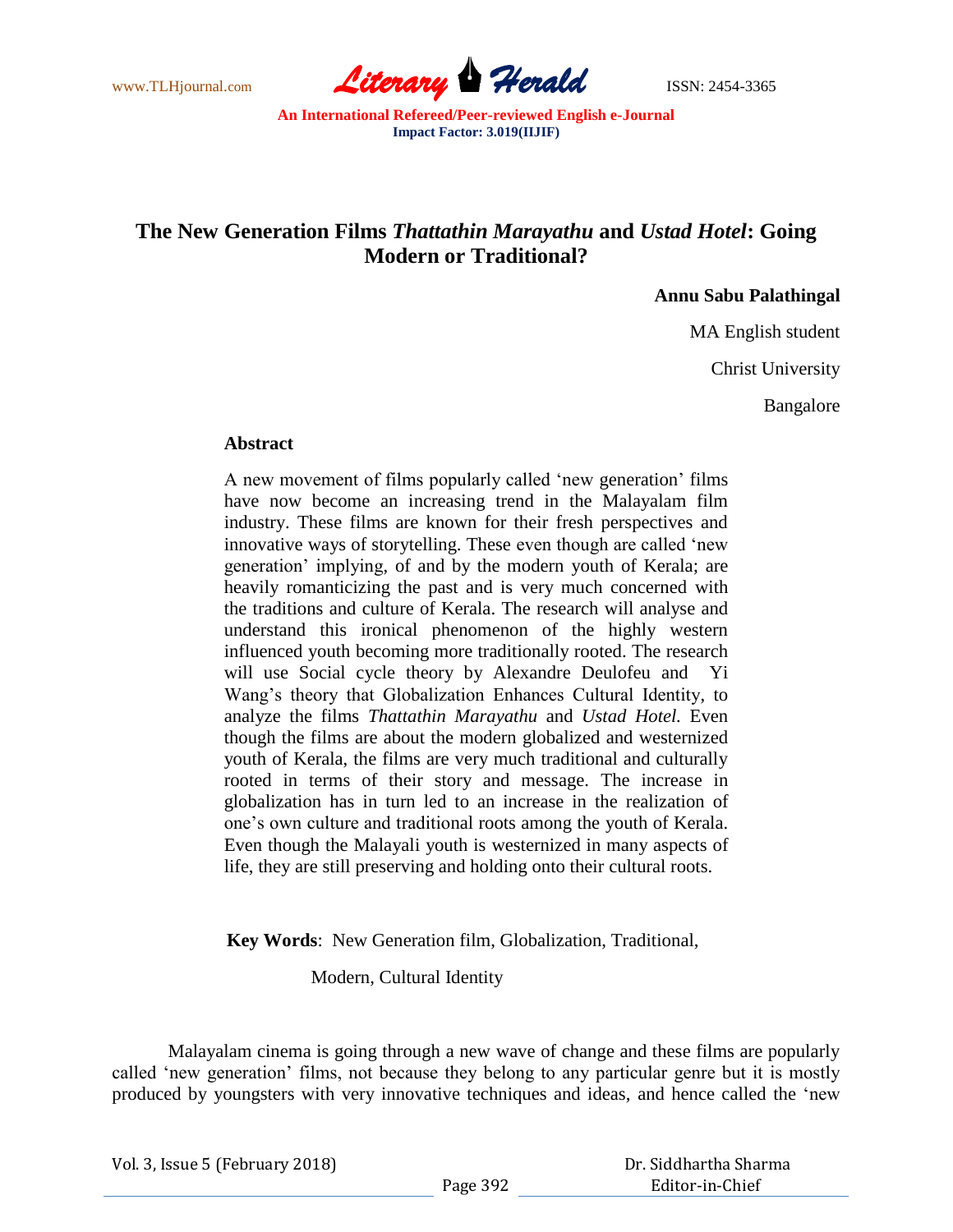

## **The New Generation Films** *Thattathin Marayathu* **and** *Ustad Hotel***: Going Modern or Traditional?**

**Annu Sabu Palathingal**

MA English student

Christ University

Bangalore

## **Abstract**

A new movement of films popularly called "new generation" films have now become an increasing trend in the Malayalam film industry. These films are known for their fresh perspectives and innovative ways of storytelling. These even though are called "new generation' implying, of and by the modern youth of Kerala; are heavily romanticizing the past and is very much concerned with the traditions and culture of Kerala. The research will analyse and understand this ironical phenomenon of the highly western influenced youth becoming more traditionally rooted. The research will use Social cycle theory by Alexandre Deulofeu and Yi Wang"s theory that Globalization Enhances Cultural Identity, to analyze the films *Thattathin Marayathu* and *Ustad Hotel.* Even though the films are about the modern globalized and westernized youth of Kerala, the films are very much traditional and culturally rooted in terms of their story and message. The increase in globalization has in turn led to an increase in the realization of one"s own culture and traditional roots among the youth of Kerala. Even though the Malayali youth is westernized in many aspects of life, they are still preserving and holding onto their cultural roots.

 **Key Words**: New Generation film, Globalization, Traditional,

Modern, Cultural Identity

Malayalam cinema is going through a new wave of change and these films are popularly called "new generation" films, not because they belong to any particular genre but it is mostly produced by youngsters with very innovative techniques and ideas, and hence called the "new

| Vol. 3, Issue 5 (February 2018) |  |  |
|---------------------------------|--|--|
|---------------------------------|--|--|

 Dr. Siddhartha Sharma Editor-in-Chief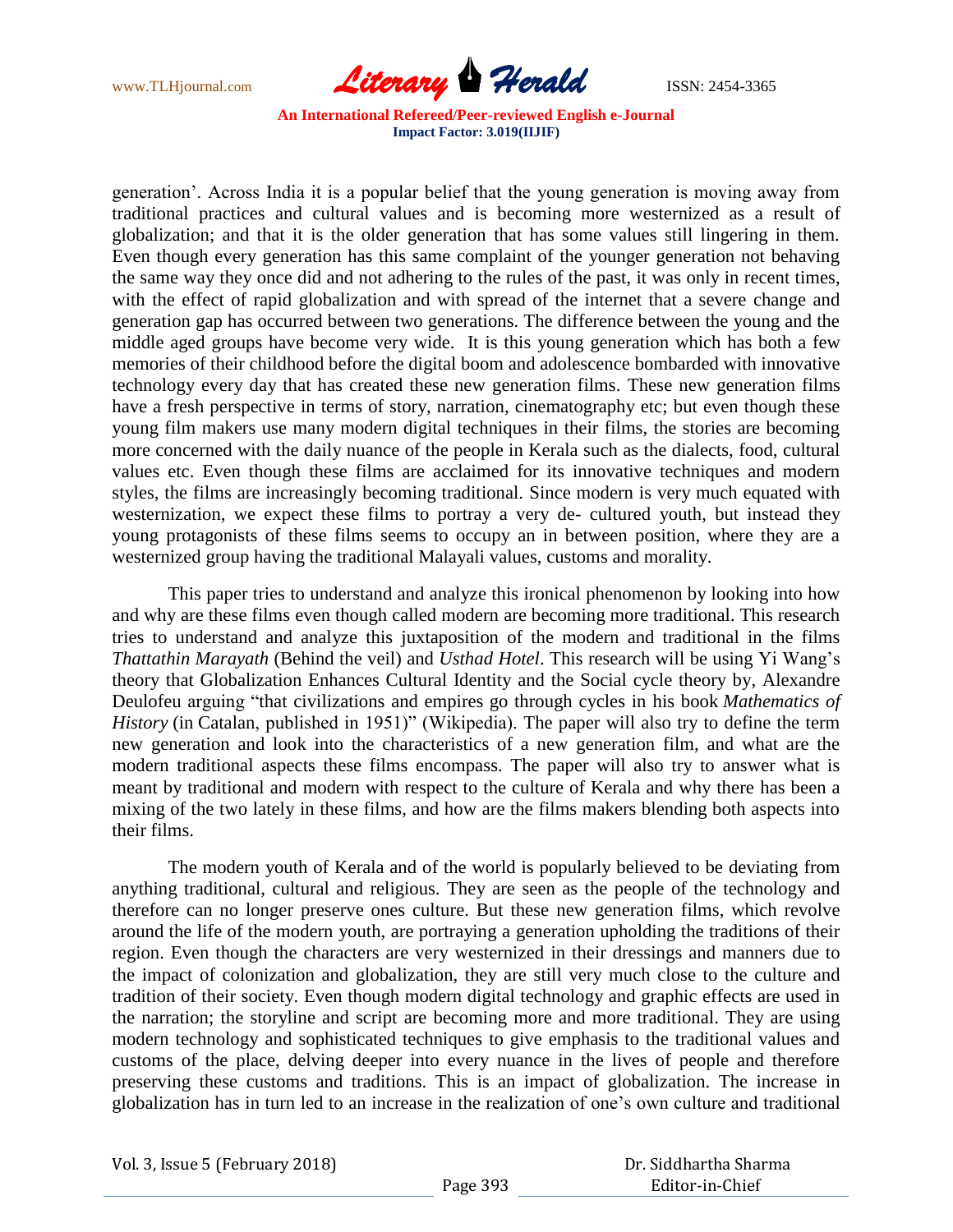

generation". Across India it is a popular belief that the young generation is moving away from traditional practices and cultural values and is becoming more westernized as a result of globalization; and that it is the older generation that has some values still lingering in them. Even though every generation has this same complaint of the younger generation not behaving the same way they once did and not adhering to the rules of the past, it was only in recent times, with the effect of rapid globalization and with spread of the internet that a severe change and generation gap has occurred between two generations. The difference between the young and the middle aged groups have become very wide. It is this young generation which has both a few memories of their childhood before the digital boom and adolescence bombarded with innovative technology every day that has created these new generation films. These new generation films have a fresh perspective in terms of story, narration, cinematography etc; but even though these young film makers use many modern digital techniques in their films, the stories are becoming more concerned with the daily nuance of the people in Kerala such as the dialects, food, cultural values etc. Even though these films are acclaimed for its innovative techniques and modern styles, the films are increasingly becoming traditional. Since modern is very much equated with westernization, we expect these films to portray a very de- cultured youth, but instead they young protagonists of these films seems to occupy an in between position, where they are a westernized group having the traditional Malayali values, customs and morality.

This paper tries to understand and analyze this ironical phenomenon by looking into how and why are these films even though called modern are becoming more traditional. This research tries to understand and analyze this juxtaposition of the modern and traditional in the films *Thattathin Marayath* (Behind the veil) and *Usthad Hotel*. This research will be using Yi Wang"s theory that Globalization Enhances Cultural Identity and the Social cycle theory by, Alexandre Deulofeu arguing "that civilizations and empires go through cycles in his book *Mathematics of History* (in Catalan, published in 1951)" (Wikipedia). The paper will also try to define the term new generation and look into the characteristics of a new generation film, and what are the modern traditional aspects these films encompass. The paper will also try to answer what is meant by traditional and modern with respect to the culture of Kerala and why there has been a mixing of the two lately in these films, and how are the films makers blending both aspects into their films.

The modern youth of Kerala and of the world is popularly believed to be deviating from anything traditional, cultural and religious. They are seen as the people of the technology and therefore can no longer preserve ones culture. But these new generation films, which revolve around the life of the modern youth, are portraying a generation upholding the traditions of their region. Even though the characters are very westernized in their dressings and manners due to the impact of colonization and globalization, they are still very much close to the culture and tradition of their society. Even though modern digital technology and graphic effects are used in the narration; the storyline and script are becoming more and more traditional. They are using modern technology and sophisticated techniques to give emphasis to the traditional values and customs of the place, delving deeper into every nuance in the lives of people and therefore preserving these customs and traditions. This is an impact of globalization. The increase in globalization has in turn led to an increase in the realization of one"s own culture and traditional

Vol. 3, Issue 5 (February 2018)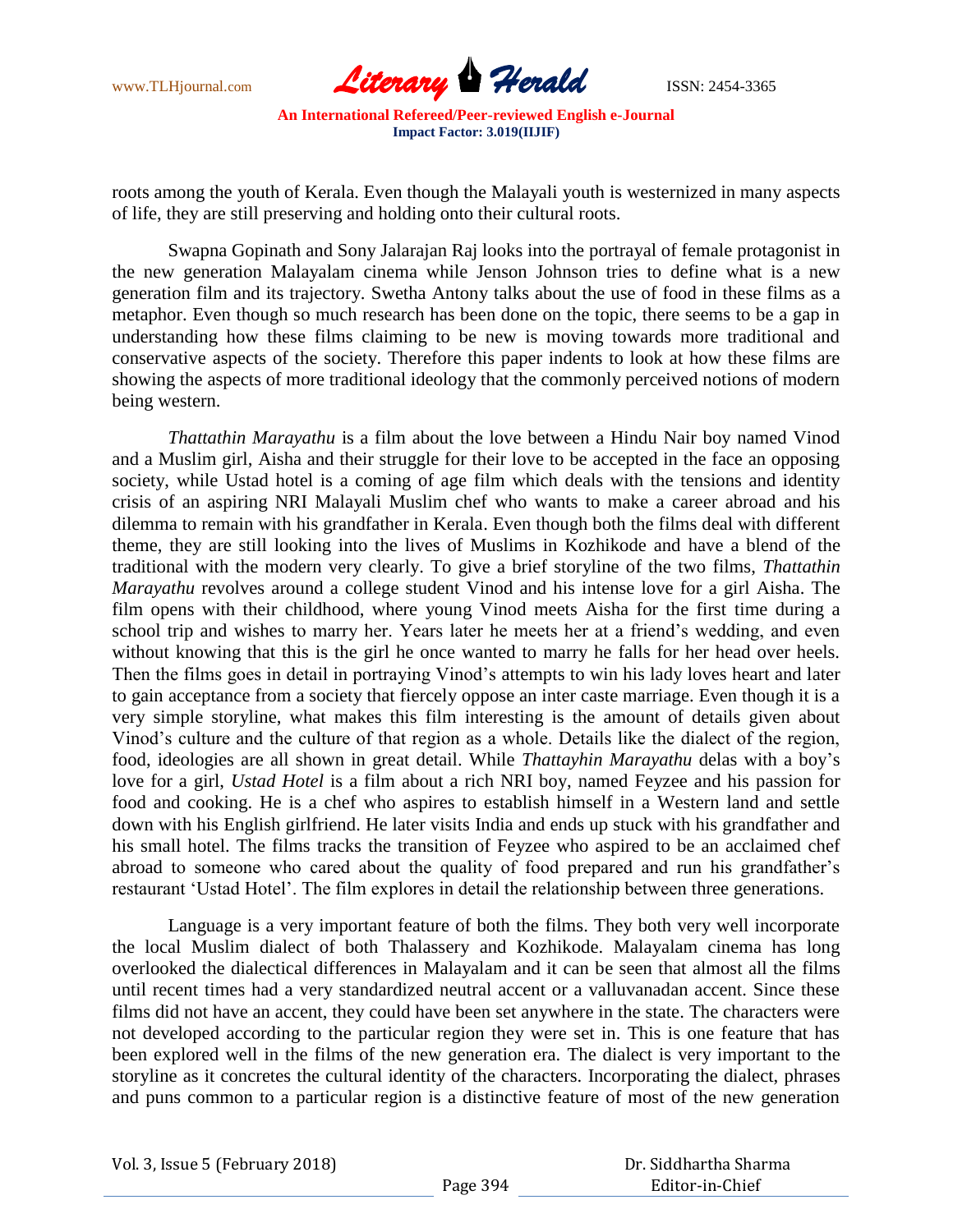

roots among the youth of Kerala. Even though the Malayali youth is westernized in many aspects of life, they are still preserving and holding onto their cultural roots.

Swapna Gopinath and Sony Jalarajan Raj looks into the portrayal of female protagonist in the new generation Malayalam cinema while Jenson Johnson tries to define what is a new generation film and its trajectory. Swetha Antony talks about the use of food in these films as a metaphor. Even though so much research has been done on the topic, there seems to be a gap in understanding how these films claiming to be new is moving towards more traditional and conservative aspects of the society. Therefore this paper indents to look at how these films are showing the aspects of more traditional ideology that the commonly perceived notions of modern being western.

*Thattathin Marayathu* is a film about the love between a Hindu Nair boy named Vinod and a Muslim girl, Aisha and their struggle for their love to be accepted in the face an opposing society, while Ustad hotel is a coming of age film which deals with the tensions and identity crisis of an aspiring NRI Malayali Muslim chef who wants to make a career abroad and his dilemma to remain with his grandfather in Kerala. Even though both the films deal with different theme, they are still looking into the lives of Muslims in Kozhikode and have a blend of the traditional with the modern very clearly. To give a brief storyline of the two films, *Thattathin Marayathu* revolves around a college student Vinod and his intense love for a girl Aisha. The film opens with their childhood, where young Vinod meets Aisha for the first time during a school trip and wishes to marry her. Years later he meets her at a friend"s wedding, and even without knowing that this is the girl he once wanted to marry he falls for her head over heels. Then the films goes in detail in portraying Vinod's attempts to win his lady loves heart and later to gain acceptance from a society that fiercely oppose an inter caste marriage. Even though it is a very simple storyline, what makes this film interesting is the amount of details given about Vinod"s culture and the culture of that region as a whole. Details like the dialect of the region, food, ideologies are all shown in great detail. While *Thattayhin Marayathu* delas with a boy"s love for a girl, *Ustad Hotel* is a film about a rich NRI boy, named Feyzee and his passion for food and cooking. He is a chef who aspires to establish himself in a Western land and settle down with his English girlfriend. He later visits India and ends up stuck with his grandfather and his small hotel. The films tracks the transition of Feyzee who aspired to be an acclaimed chef abroad to someone who cared about the quality of food prepared and run his grandfather's restaurant "Ustad Hotel". The film explores in detail the relationship between three generations.

Language is a very important feature of both the films. They both very well incorporate the local Muslim dialect of both Thalassery and Kozhikode. Malayalam cinema has long overlooked the dialectical differences in Malayalam and it can be seen that almost all the films until recent times had a very standardized neutral accent or a valluvanadan accent. Since these films did not have an accent, they could have been set anywhere in the state. The characters were not developed according to the particular region they were set in. This is one feature that has been explored well in the films of the new generation era. The dialect is very important to the storyline as it concretes the cultural identity of the characters. Incorporating the dialect, phrases and puns common to a particular region is a distinctive feature of most of the new generation

|  |  | Vol. 3, Issue 5 (February 2018) |
|--|--|---------------------------------|
|--|--|---------------------------------|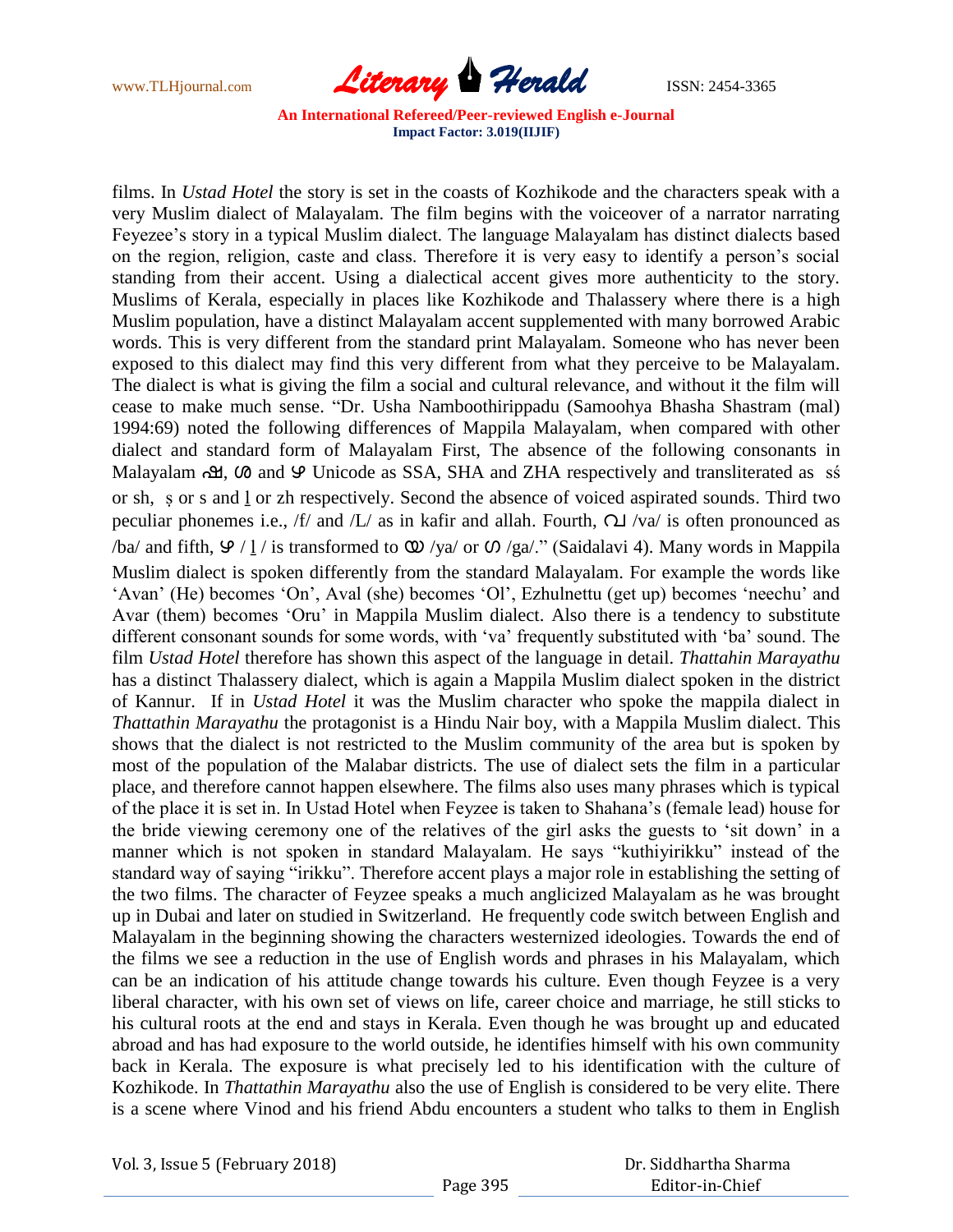

films. In *Ustad Hotel* the story is set in the coasts of Kozhikode and the characters speak with a very Muslim dialect of Malayalam. The film begins with the voiceover of a narrator narrating Feyezee"s story in a typical Muslim dialect. The language Malayalam has distinct dialects based on the region, religion, caste and class. Therefore it is very easy to identify a person"s social standing from their accent. Using a dialectical accent gives more authenticity to the story. Muslims of Kerala, especially in places like Kozhikode and Thalassery where there is a high Muslim population, have a distinct Malayalam accent supplemented with many borrowed Arabic words. This is very different from the standard print Malayalam. Someone who has never been exposed to this dialect may find this very different from what they perceive to be Malayalam. The dialect is what is giving the film a social and cultural relevance, and without it the film will cease to make much sense. "Dr. Usha Namboothirippadu (Samoohya Bhasha Shastram (mal) 1994:69) noted the following differences of Mappila Malayalam, when compared with other dialect and standard form of Malayalam First, The absence of the following consonants in Malayalam  $\alpha$ ,  $\alpha$  and  $\varphi$  Unicode as SSA, SHA and ZHA respectively and transliterated as ss or sh, ṣ or s and ḻ or zh respectively. Second the absence of voiced aspirated sounds. Third two peculiar phonemes i.e.,  $/f$  and  $/L$  as in kafir and allah. Fourth,  $\Omega$  /va/ is often pronounced as /ba/ and fifth,  $9/1$ / is transformed to  $\omega$  /ya/ or  $\omega$  /ga/." (Saidalavi 4). Many words in Mappila Muslim dialect is spoken differently from the standard Malayalam. For example the words like "Avan" (He) becomes "On", Aval (she) becomes "Ol", Ezhulnettu (get up) becomes "neechu" and Avar (them) becomes "Oru" in Mappila Muslim dialect. Also there is a tendency to substitute different consonant sounds for some words, with "va" frequently substituted with "ba" sound. The film *Ustad Hotel* therefore has shown this aspect of the language in detail. *Thattahin Marayathu* has a distinct Thalassery dialect, which is again a Mappila Muslim dialect spoken in the district of Kannur. If in *Ustad Hotel* it was the Muslim character who spoke the mappila dialect in *Thattathin Marayathu* the protagonist is a Hindu Nair boy, with a Mappila Muslim dialect. This shows that the dialect is not restricted to the Muslim community of the area but is spoken by most of the population of the Malabar districts. The use of dialect sets the film in a particular place, and therefore cannot happen elsewhere. The films also uses many phrases which is typical of the place it is set in. In Ustad Hotel when Feyzee is taken to Shahana"s (female lead) house for the bride viewing ceremony one of the relatives of the girl asks the guests to "sit down" in a manner which is not spoken in standard Malayalam. He says "kuthiyirikku" instead of the standard way of saying "irikku". Therefore accent plays a major role in establishing the setting of the two films. The character of Feyzee speaks a much anglicized Malayalam as he was brought up in Dubai and later on studied in Switzerland. He frequently code switch between English and Malayalam in the beginning showing the characters westernized ideologies. Towards the end of the films we see a reduction in the use of English words and phrases in his Malayalam, which can be an indication of his attitude change towards his culture. Even though Feyzee is a very liberal character, with his own set of views on life, career choice and marriage, he still sticks to his cultural roots at the end and stays in Kerala. Even though he was brought up and educated abroad and has had exposure to the world outside, he identifies himself with his own community back in Kerala. The exposure is what precisely led to his identification with the culture of Kozhikode. In *Thattathin Marayathu* also the use of English is considered to be very elite. There is a scene where Vinod and his friend Abdu encounters a student who talks to them in English

Vol. 3, Issue 5 (February 2018)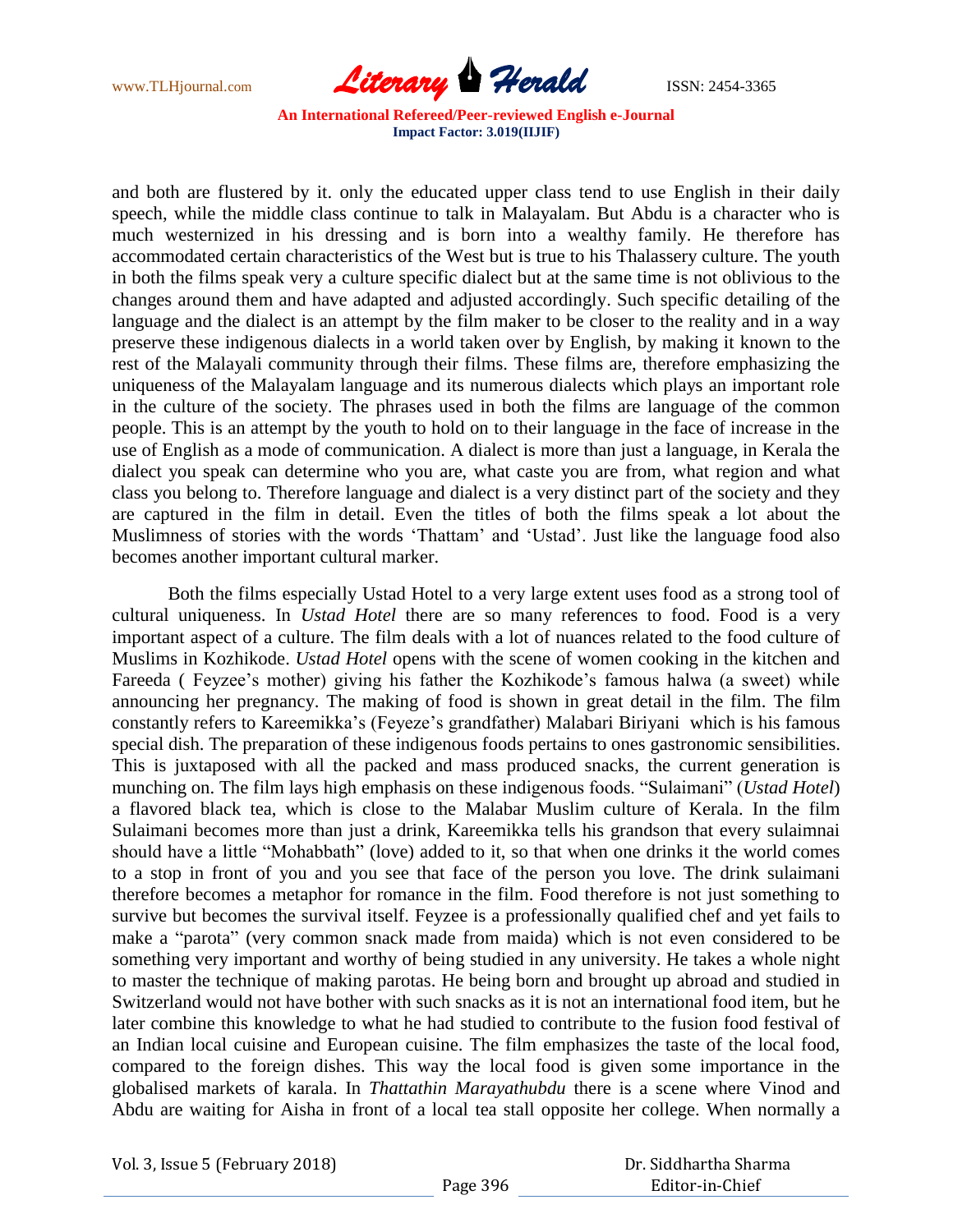

and both are flustered by it. only the educated upper class tend to use English in their daily speech, while the middle class continue to talk in Malayalam. But Abdu is a character who is much westernized in his dressing and is born into a wealthy family. He therefore has accommodated certain characteristics of the West but is true to his Thalassery culture. The youth in both the films speak very a culture specific dialect but at the same time is not oblivious to the changes around them and have adapted and adjusted accordingly. Such specific detailing of the language and the dialect is an attempt by the film maker to be closer to the reality and in a way preserve these indigenous dialects in a world taken over by English, by making it known to the rest of the Malayali community through their films. These films are, therefore emphasizing the uniqueness of the Malayalam language and its numerous dialects which plays an important role in the culture of the society. The phrases used in both the films are language of the common people. This is an attempt by the youth to hold on to their language in the face of increase in the use of English as a mode of communication. A dialect is more than just a language, in Kerala the dialect you speak can determine who you are, what caste you are from, what region and what class you belong to. Therefore language and dialect is a very distinct part of the society and they are captured in the film in detail. Even the titles of both the films speak a lot about the Muslimness of stories with the words "Thattam" and "Ustad". Just like the language food also becomes another important cultural marker.

Both the films especially Ustad Hotel to a very large extent uses food as a strong tool of cultural uniqueness. In *Ustad Hotel* there are so many references to food. Food is a very important aspect of a culture. The film deals with a lot of nuances related to the food culture of Muslims in Kozhikode. *Ustad Hotel* opens with the scene of women cooking in the kitchen and Fareeda ( Feyzee's mother) giving his father the Kozhikode's famous halwa (a sweet) while announcing her pregnancy. The making of food is shown in great detail in the film. The film constantly refers to Kareemikka"s (Feyeze"s grandfather) Malabari Biriyani which is his famous special dish. The preparation of these indigenous foods pertains to ones gastronomic sensibilities. This is juxtaposed with all the packed and mass produced snacks, the current generation is munching on. The film lays high emphasis on these indigenous foods. "Sulaimani" (*Ustad Hotel*) a flavored black tea, which is close to the Malabar Muslim culture of Kerala. In the film Sulaimani becomes more than just a drink, Kareemikka tells his grandson that every sulaimnai should have a little "Mohabbath" (love) added to it, so that when one drinks it the world comes to a stop in front of you and you see that face of the person you love. The drink sulaimani therefore becomes a metaphor for romance in the film. Food therefore is not just something to survive but becomes the survival itself. Feyzee is a professionally qualified chef and yet fails to make a "parota" (very common snack made from maida) which is not even considered to be something very important and worthy of being studied in any university. He takes a whole night to master the technique of making parotas. He being born and brought up abroad and studied in Switzerland would not have bother with such snacks as it is not an international food item, but he later combine this knowledge to what he had studied to contribute to the fusion food festival of an Indian local cuisine and European cuisine. The film emphasizes the taste of the local food, compared to the foreign dishes. This way the local food is given some importance in the globalised markets of karala. In *Thattathin Marayathubdu* there is a scene where Vinod and Abdu are waiting for Aisha in front of a local tea stall opposite her college. When normally a

Vol. 3, Issue 5 (February 2018)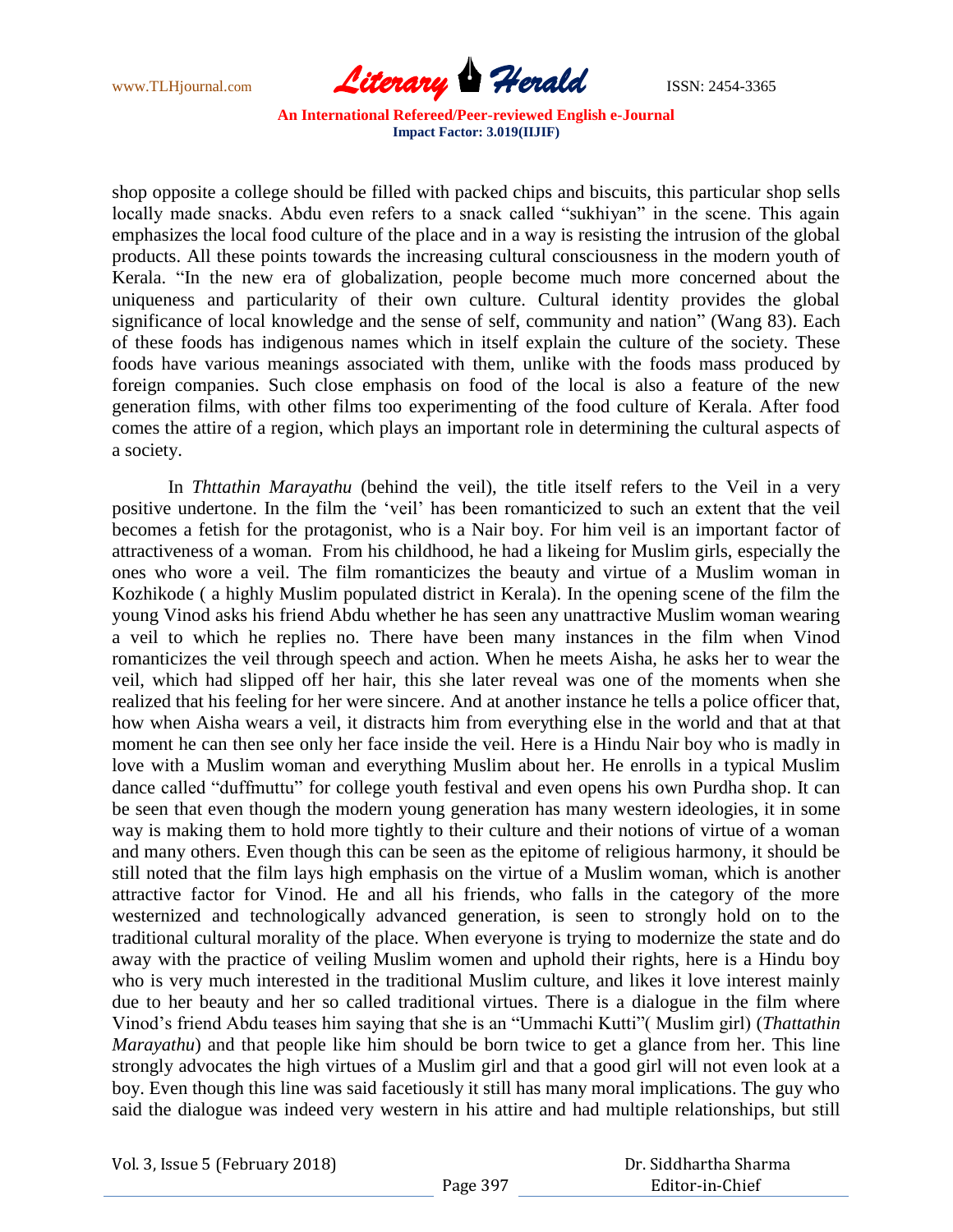

shop opposite a college should be filled with packed chips and biscuits, this particular shop sells locally made snacks. Abdu even refers to a snack called "sukhiyan" in the scene. This again emphasizes the local food culture of the place and in a way is resisting the intrusion of the global products. All these points towards the increasing cultural consciousness in the modern youth of Kerala. "In the new era of globalization, people become much more concerned about the uniqueness and particularity of their own culture. Cultural identity provides the global significance of local knowledge and the sense of self, community and nation" (Wang 83). Each of these foods has indigenous names which in itself explain the culture of the society. These foods have various meanings associated with them, unlike with the foods mass produced by foreign companies. Such close emphasis on food of the local is also a feature of the new generation films, with other films too experimenting of the food culture of Kerala. After food comes the attire of a region, which plays an important role in determining the cultural aspects of a society.

In *Thttathin Marayathu* (behind the veil), the title itself refers to the Veil in a very positive undertone. In the film the "veil" has been romanticized to such an extent that the veil becomes a fetish for the protagonist, who is a Nair boy. For him veil is an important factor of attractiveness of a woman. From his childhood, he had a likeing for Muslim girls, especially the ones who wore a veil. The film romanticizes the beauty and virtue of a Muslim woman in Kozhikode ( a highly Muslim populated district in Kerala). In the opening scene of the film the young Vinod asks his friend Abdu whether he has seen any unattractive Muslim woman wearing a veil to which he replies no. There have been many instances in the film when Vinod romanticizes the veil through speech and action. When he meets Aisha, he asks her to wear the veil, which had slipped off her hair, this she later reveal was one of the moments when she realized that his feeling for her were sincere. And at another instance he tells a police officer that, how when Aisha wears a veil, it distracts him from everything else in the world and that at that moment he can then see only her face inside the veil. Here is a Hindu Nair boy who is madly in love with a Muslim woman and everything Muslim about her. He enrolls in a typical Muslim dance called "duffmuttu" for college youth festival and even opens his own Purdha shop. It can be seen that even though the modern young generation has many western ideologies, it in some way is making them to hold more tightly to their culture and their notions of virtue of a woman and many others. Even though this can be seen as the epitome of religious harmony, it should be still noted that the film lays high emphasis on the virtue of a Muslim woman, which is another attractive factor for Vinod. He and all his friends, who falls in the category of the more westernized and technologically advanced generation, is seen to strongly hold on to the traditional cultural morality of the place. When everyone is trying to modernize the state and do away with the practice of veiling Muslim women and uphold their rights, here is a Hindu boy who is very much interested in the traditional Muslim culture, and likes it love interest mainly due to her beauty and her so called traditional virtues. There is a dialogue in the film where Vinod"s friend Abdu teases him saying that she is an "Ummachi Kutti"( Muslim girl) (*Thattathin Marayathu*) and that people like him should be born twice to get a glance from her. This line strongly advocates the high virtues of a Muslim girl and that a good girl will not even look at a boy. Even though this line was said facetiously it still has many moral implications. The guy who said the dialogue was indeed very western in his attire and had multiple relationships, but still

Vol. 3, Issue 5 (February 2018)

 Dr. Siddhartha Sharma Editor-in-Chief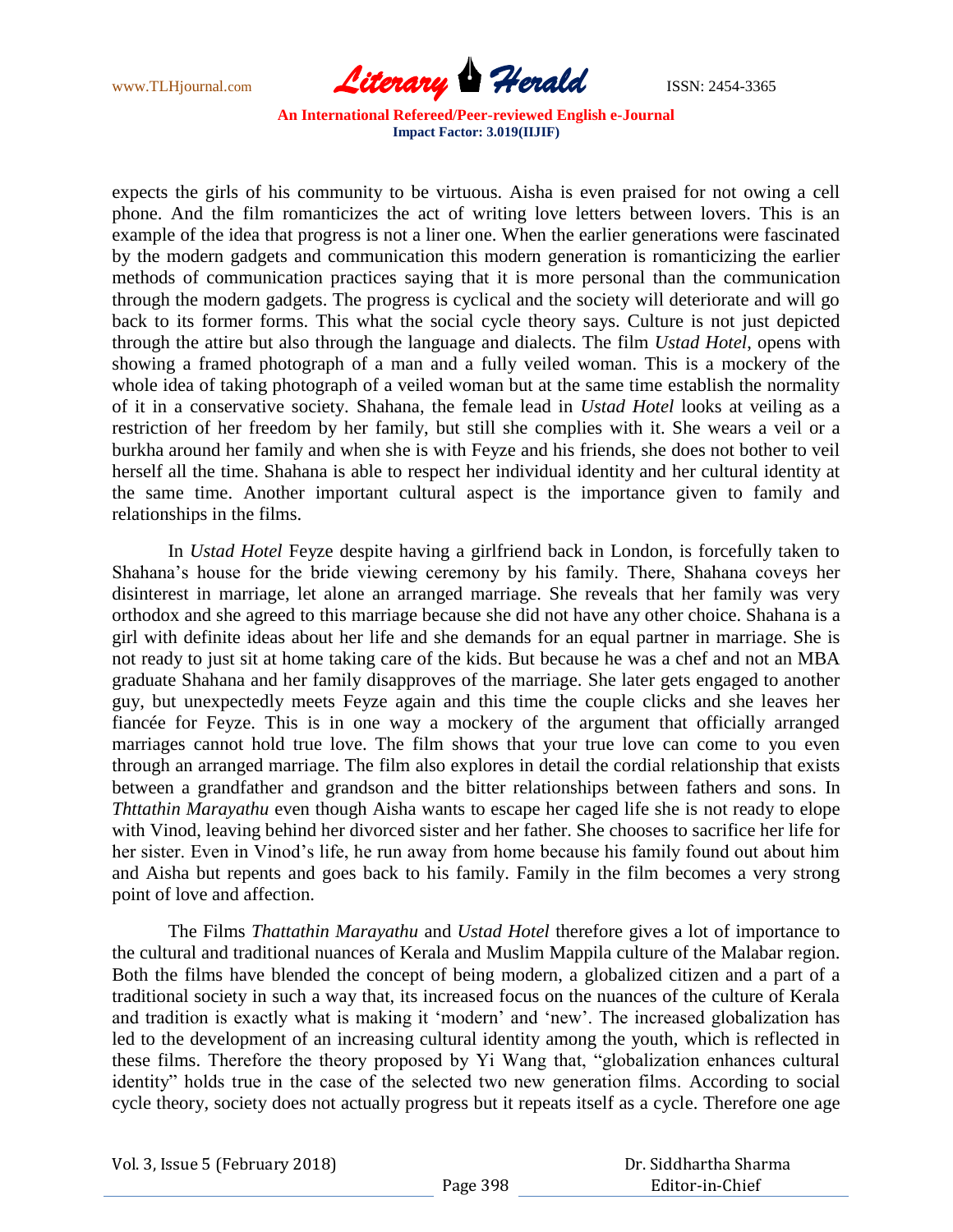

expects the girls of his community to be virtuous. Aisha is even praised for not owing a cell phone. And the film romanticizes the act of writing love letters between lovers. This is an example of the idea that progress is not a liner one. When the earlier generations were fascinated by the modern gadgets and communication this modern generation is romanticizing the earlier methods of communication practices saying that it is more personal than the communication through the modern gadgets. The progress is cyclical and the society will deteriorate and will go back to its former forms. This what the social cycle theory says. Culture is not just depicted through the attire but also through the language and dialects. The film *Ustad Hotel*, opens with showing a framed photograph of a man and a fully veiled woman. This is a mockery of the whole idea of taking photograph of a veiled woman but at the same time establish the normality of it in a conservative society. Shahana, the female lead in *Ustad Hotel* looks at veiling as a restriction of her freedom by her family, but still she complies with it. She wears a veil or a burkha around her family and when she is with Feyze and his friends, she does not bother to veil herself all the time. Shahana is able to respect her individual identity and her cultural identity at the same time. Another important cultural aspect is the importance given to family and relationships in the films.

In *Ustad Hotel* Feyze despite having a girlfriend back in London, is forcefully taken to Shahana"s house for the bride viewing ceremony by his family. There, Shahana coveys her disinterest in marriage, let alone an arranged marriage. She reveals that her family was very orthodox and she agreed to this marriage because she did not have any other choice. Shahana is a girl with definite ideas about her life and she demands for an equal partner in marriage. She is not ready to just sit at home taking care of the kids. But because he was a chef and not an MBA graduate Shahana and her family disapproves of the marriage. She later gets engaged to another guy, but unexpectedly meets Feyze again and this time the couple clicks and she leaves her fiancée for Feyze. This is in one way a mockery of the argument that officially arranged marriages cannot hold true love. The film shows that your true love can come to you even through an arranged marriage. The film also explores in detail the cordial relationship that exists between a grandfather and grandson and the bitter relationships between fathers and sons. In *Thttathin Marayathu* even though Aisha wants to escape her caged life she is not ready to elope with Vinod, leaving behind her divorced sister and her father. She chooses to sacrifice her life for her sister. Even in Vinod"s life, he run away from home because his family found out about him and Aisha but repents and goes back to his family. Family in the film becomes a very strong point of love and affection.

The Films *Thattathin Marayathu* and *Ustad Hotel* therefore gives a lot of importance to the cultural and traditional nuances of Kerala and Muslim Mappila culture of the Malabar region. Both the films have blended the concept of being modern, a globalized citizen and a part of a traditional society in such a way that, its increased focus on the nuances of the culture of Kerala and tradition is exactly what is making it "modern" and "new". The increased globalization has led to the development of an increasing cultural identity among the youth, which is reflected in these films. Therefore the theory proposed by Yi Wang that, "globalization enhances cultural identity" holds true in the case of the selected two new generation films. According to social cycle theory, society does not actually progress but it repeats itself as a cycle. Therefore one age

| Vol. 3, Issue 5 (February 2018) |  |
|---------------------------------|--|
|---------------------------------|--|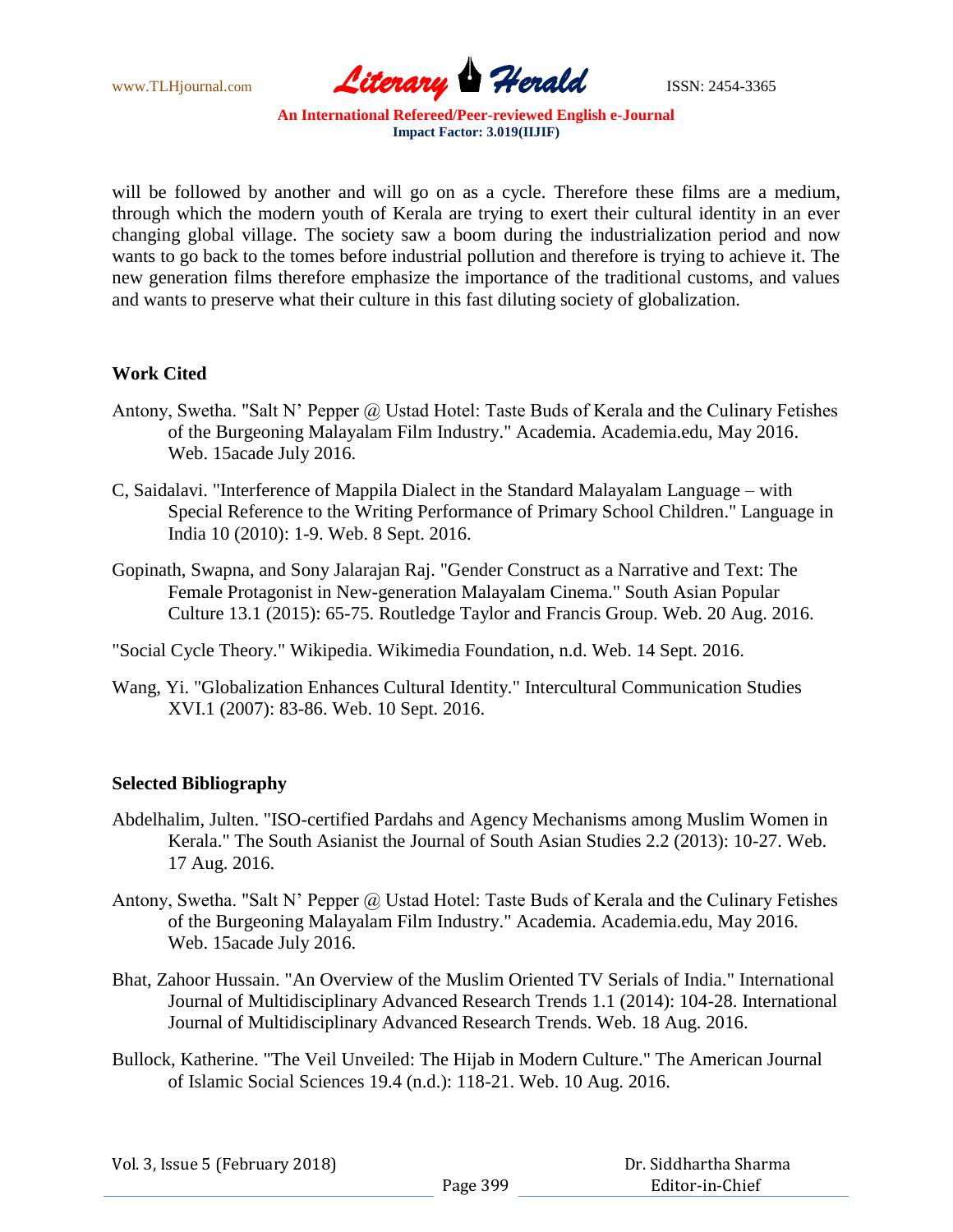

will be followed by another and will go on as a cycle. Therefore these films are a medium, through which the modern youth of Kerala are trying to exert their cultural identity in an ever changing global village. The society saw a boom during the industrialization period and now wants to go back to the tomes before industrial pollution and therefore is trying to achieve it. The new generation films therefore emphasize the importance of the traditional customs, and values and wants to preserve what their culture in this fast diluting society of globalization.

## **Work Cited**

- Antony, Swetha. "Salt N' Pepper @ Ustad Hotel: Taste Buds of Kerala and the Culinary Fetishes of the Burgeoning Malayalam Film Industry." Academia. Academia.edu, May 2016. Web. 15acade July 2016.
- C, Saidalavi. "Interference of Mappila Dialect in the Standard Malayalam Language with Special Reference to the Writing Performance of Primary School Children." Language in India 10 (2010): 1-9. Web. 8 Sept. 2016.
- Gopinath, Swapna, and Sony Jalarajan Raj. "Gender Construct as a Narrative and Text: The Female Protagonist in New-generation Malayalam Cinema." South Asian Popular Culture 13.1 (2015): 65-75. Routledge Taylor and Francis Group. Web. 20 Aug. 2016.

"Social Cycle Theory." Wikipedia. Wikimedia Foundation, n.d. Web. 14 Sept. 2016.

Wang, Yi. "Globalization Enhances Cultural Identity." Intercultural Communication Studies XVI.1 (2007): 83-86. Web. 10 Sept. 2016.

## **Selected Bibliography**

- Abdelhalim, Julten. "ISO-certified Pardahs and Agency Mechanisms among Muslim Women in Kerala." The South Asianist the Journal of South Asian Studies 2.2 (2013): 10-27. Web. 17 Aug. 2016.
- Antony, Swetha. "Salt N' Pepper @ Ustad Hotel: Taste Buds of Kerala and the Culinary Fetishes of the Burgeoning Malayalam Film Industry." Academia. Academia.edu, May 2016. Web. 15acade July 2016.
- Bhat, Zahoor Hussain. "An Overview of the Muslim Oriented TV Serials of India." International Journal of Multidisciplinary Advanced Research Trends 1.1 (2014): 104-28. International Journal of Multidisciplinary Advanced Research Trends. Web. 18 Aug. 2016.
- Bullock, Katherine. "The Veil Unveiled: The Hijab in Modern Culture." The American Journal of Islamic Social Sciences 19.4 (n.d.): 118-21. Web. 10 Aug. 2016.

| Vol. 3, Issue 5 (February 2018) |          | Dr. Siddhartha Sharma |
|---------------------------------|----------|-----------------------|
|                                 | Page 399 | Editor-in-Chief       |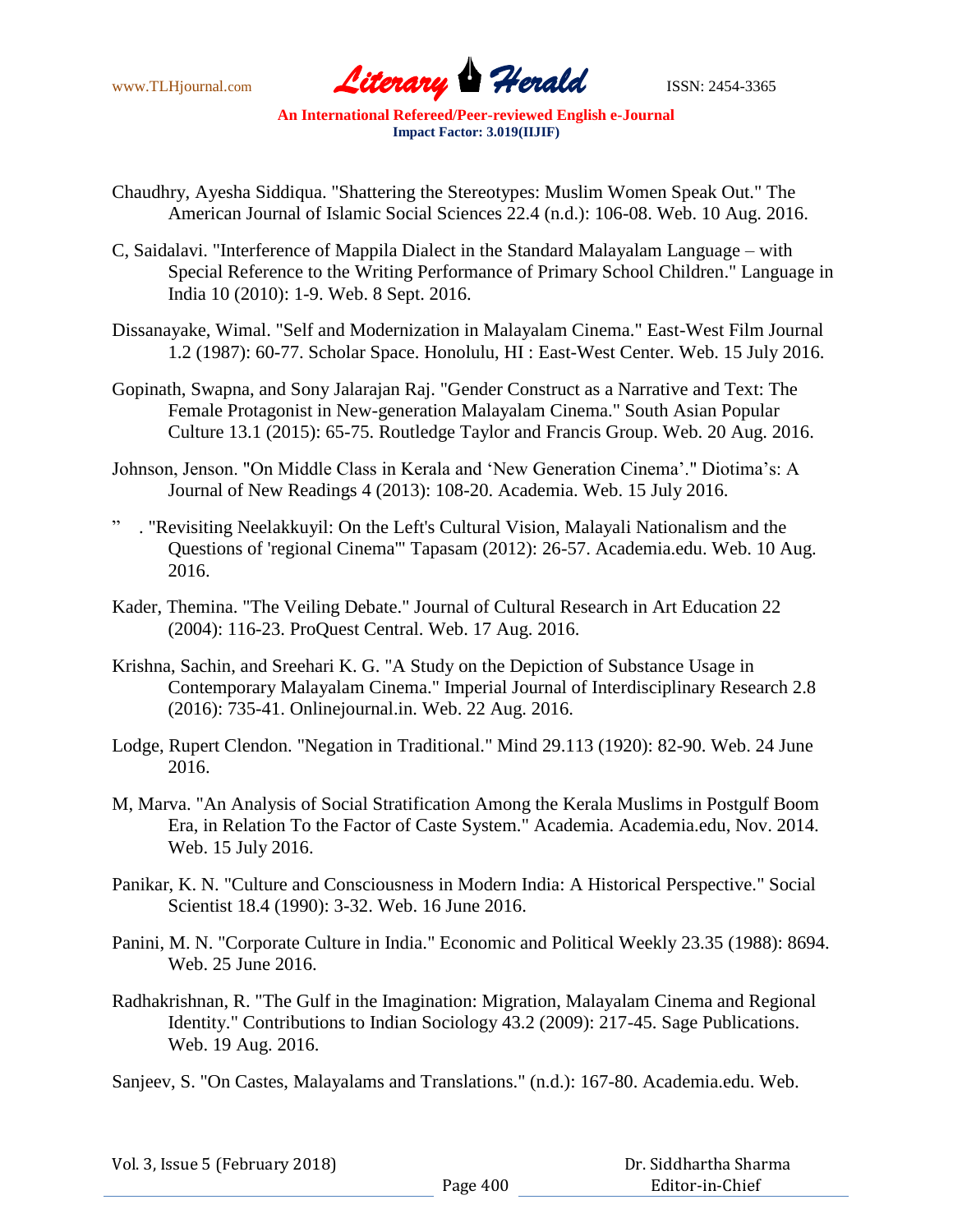

- Chaudhry, Ayesha Siddiqua. "Shattering the Stereotypes: Muslim Women Speak Out." The American Journal of Islamic Social Sciences 22.4 (n.d.): 106-08. Web. 10 Aug. 2016.
- C, Saidalavi. "Interference of Mappila Dialect in the Standard Malayalam Language with Special Reference to the Writing Performance of Primary School Children." Language in India 10 (2010): 1-9. Web. 8 Sept. 2016.
- Dissanayake, Wimal. "Self and Modernization in Malayalam Cinema." East-West Film Journal 1.2 (1987): 60-77. Scholar Space. Honolulu, HI : East-West Center. Web. 15 July 2016.
- Gopinath, Swapna, and Sony Jalarajan Raj. "Gender Construct as a Narrative and Text: The Female Protagonist in New-generation Malayalam Cinema." South Asian Popular Culture 13.1 (2015): 65-75. Routledge Taylor and Francis Group. Web. 20 Aug. 2016.
- Johnson, Jenson. "On Middle Class in Kerala and "New Generation Cinema"." Diotima"s: A Journal of New Readings 4 (2013): 108-20. Academia. Web. 15 July 2016.
- . "Revisiting Neelakkuyil: On the Left's Cultural Vision, Malayali Nationalism and the Questions of 'regional Cinema'" Tapasam (2012): 26-57. Academia.edu. Web. 10 Aug. 2016.
- Kader, Themina. "The Veiling Debate." Journal of Cultural Research in Art Education 22 (2004): 116-23. ProQuest Central. Web. 17 Aug. 2016.
- Krishna, Sachin, and Sreehari K. G. "A Study on the Depiction of Substance Usage in Contemporary Malayalam Cinema." Imperial Journal of Interdisciplinary Research 2.8 (2016): 735-41. Onlinejournal.in. Web. 22 Aug. 2016.
- Lodge, Rupert Clendon. "Negation in Traditional." Mind 29.113 (1920): 82-90. Web. 24 June 2016.
- M, Marva. "An Analysis of Social Stratification Among the Kerala Muslims in Postgulf Boom Era, in Relation To the Factor of Caste System." Academia. Academia.edu, Nov. 2014. Web. 15 July 2016.
- Panikar, K. N. "Culture and Consciousness in Modern India: A Historical Perspective." Social Scientist 18.4 (1990): 3-32. Web. 16 June 2016.
- Panini, M. N. "Corporate Culture in India." Economic and Political Weekly 23.35 (1988): 8694. Web. 25 June 2016.
- Radhakrishnan, R. "The Gulf in the Imagination: Migration, Malayalam Cinema and Regional Identity." Contributions to Indian Sociology 43.2 (2009): 217-45. Sage Publications. Web. 19 Aug. 2016.
- Sanjeev, S. "On Castes, Malayalams and Translations." (n.d.): 167-80. Academia.edu. Web.

| Vol. 3, Issue 5 (February 2018) |          | Dr. Siddhartha Sharma |
|---------------------------------|----------|-----------------------|
|                                 | Page 400 | Editor-in-Chief       |